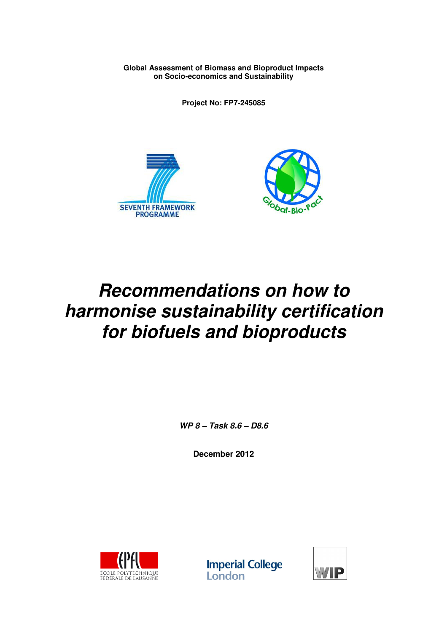**Global Assessment of Biomass and Bioproduct Impacts on Socio-economics and Sustainability** 

**Project No: FP7-245085** 





# **Recommendations on how to harmonise sustainability certification for biofuels and bioproducts**

**WP 8 – Task 8.6 – D8.6** 

**December 2012** 





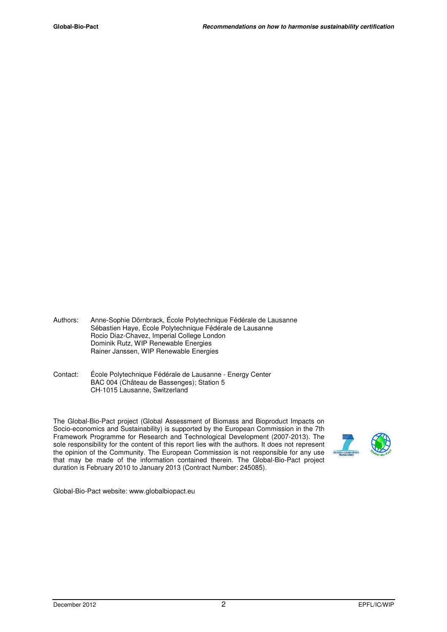- Authors: Anne-Sophie Dörnbrack, École Polytechnique Fédérale de Lausanne Sébastien Haye, École Polytechnique Fédérale de Lausanne Rocio Diaz-Chavez, Imperial College London Dominik Rutz, WIP Renewable Energies Rainer Janssen, WIP Renewable Energies
- Contact: École Polytechnique Fédérale de Lausanne Energy Center BAC 004 (Château de Bassenges); Station 5 CH-1015 Lausanne, Switzerland

The Global-Bio-Pact project (Global Assessment of Biomass and Bioproduct Impacts on Socio-economics and Sustainability) is supported by the European Commission in the 7th Framework Programme for Research and Technological Development (2007-2013). The sole responsibility for the content of this report lies with the authors. It does not represent the opinion of the Community. The European Commission is not responsible for any use that may be made of the information contained therein. The Global-Bio-Pact project duration is February 2010 to January 2013 (Contract Number: 245085).



Global-Bio-Pact website: www.globalbiopact.eu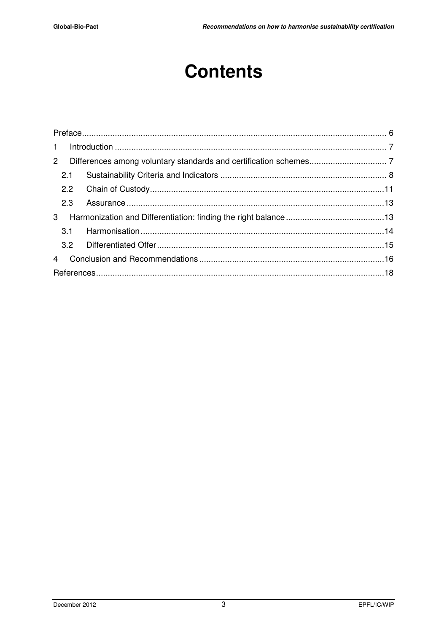# **Contents**

| 1              |  |
|----------------|--|
| $2^{\circ}$    |  |
| 2.1            |  |
|                |  |
| 2.3            |  |
| 3              |  |
| 3.1            |  |
|                |  |
| $\overline{4}$ |  |
|                |  |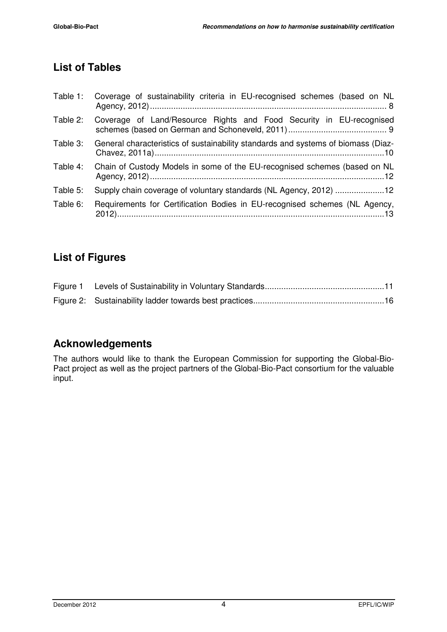# **List of Tables**

| Table 1: | Coverage of sustainability criteria in EU-recognised schemes (based on NL         |
|----------|-----------------------------------------------------------------------------------|
| Table 2: | Coverage of Land/Resource Rights and Food Security in EU-recognised               |
| Table 3: | General characteristics of sustainability standards and systems of biomass (Diaz- |
| Table 4: | Chain of Custody Models in some of the EU-recognised schemes (based on NL         |
| Table 5: | Supply chain coverage of voluntary standards (NL Agency, 2012) 12                 |
| Table 6: | Requirements for Certification Bodies in EU-recognised schemes (NL Agency,        |

# **List of Figures**

# **Acknowledgements**

The authors would like to thank the European Commission for supporting the Global-Bio-Pact project as well as the project partners of the Global-Bio-Pact consortium for the valuable input.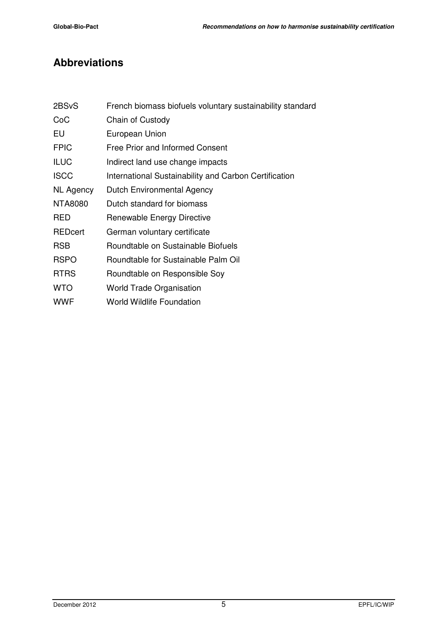# **Abbreviations**

| 2BS <sub>v</sub> S | French biomass biofuels voluntary sustainability standard |
|--------------------|-----------------------------------------------------------|
| CoC                | Chain of Custody                                          |
| EU                 | European Union                                            |
| <b>FPIC</b>        | <b>Free Prior and Informed Consent</b>                    |
| <b>ILUC</b>        | Indirect land use change impacts                          |
| <b>ISCC</b>        | International Sustainability and Carbon Certification     |
| <b>NL Agency</b>   | Dutch Environmental Agency                                |
| NTA8080            | Dutch standard for biomass                                |
| <b>RED</b>         | Renewable Energy Directive                                |
| <b>REDcert</b>     | German voluntary certificate                              |
| <b>RSB</b>         | Roundtable on Sustainable Biofuels                        |
| <b>RSPO</b>        | Roundtable for Sustainable Palm Oil                       |
| <b>RTRS</b>        | Roundtable on Responsible Soy                             |
| <b>WTO</b>         | <b>World Trade Organisation</b>                           |
| <b>WWF</b>         | <b>World Wildlife Foundation</b>                          |
|                    |                                                           |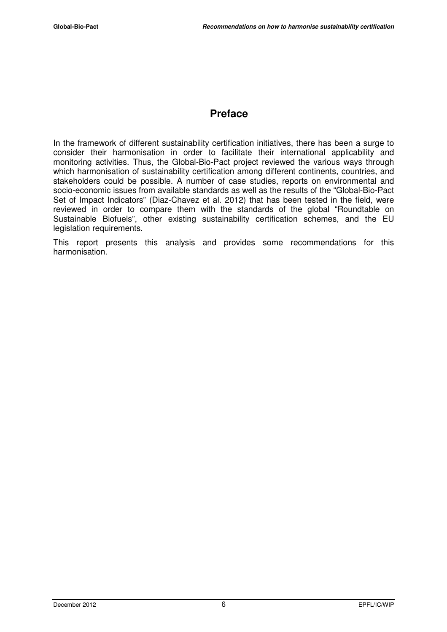### **Preface**

In the framework of different sustainability certification initiatives, there has been a surge to consider their harmonisation in order to facilitate their international applicability and monitoring activities. Thus, the Global-Bio-Pact project reviewed the various ways through which harmonisation of sustainability certification among different continents, countries, and stakeholders could be possible. A number of case studies, reports on environmental and socio-economic issues from available standards as well as the results of the "Global-Bio-Pact Set of Impact Indicators" (Diaz-Chavez et al. 2012) that has been tested in the field, were reviewed in order to compare them with the standards of the global "Roundtable on Sustainable Biofuels", other existing sustainability certification schemes, and the EU legislation requirements.

This report presents this analysis and provides some recommendations for this harmonisation.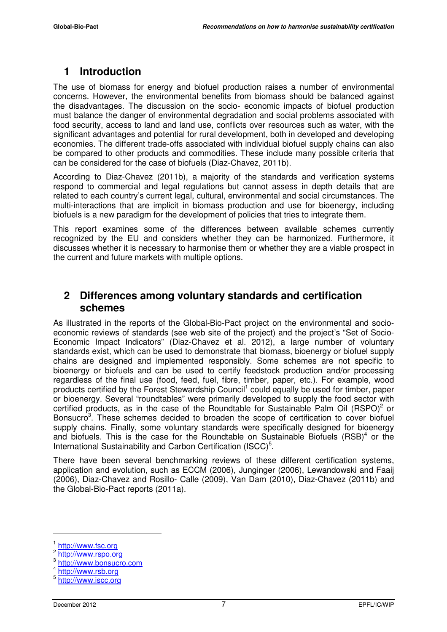## **1 Introduction**

The use of biomass for energy and biofuel production raises a number of environmental concerns. However, the environmental benefits from biomass should be balanced against the disadvantages. The discussion on the socio- economic impacts of biofuel production must balance the danger of environmental degradation and social problems associated with food security, access to land and land use, conflicts over resources such as water, with the significant advantages and potential for rural development, both in developed and developing economies. The different trade-offs associated with individual biofuel supply chains can also be compared to other products and commodities. These include many possible criteria that can be considered for the case of biofuels (Diaz-Chavez, 2011b).

According to Diaz-Chavez (2011b), a majority of the standards and verification systems respond to commercial and legal regulations but cannot assess in depth details that are related to each country's current legal, cultural, environmental and social circumstances. The multi-interactions that are implicit in biomass production and use for bioenergy, including biofuels is a new paradigm for the development of policies that tries to integrate them.

This report examines some of the differences between available schemes currently recognized by the EU and considers whether they can be harmonized. Furthermore, it discusses whether it is necessary to harmonise them or whether they are a viable prospect in the current and future markets with multiple options.

### **2 Differences among voluntary standards and certification schemes**

As illustrated in the reports of the Global-Bio-Pact project on the environmental and socioeconomic reviews of standards (see web site of the project) and the project's "Set of Socio-Economic Impact Indicators" (Diaz-Chavez et al. 2012), a large number of voluntary standards exist, which can be used to demonstrate that biomass, bioenergy or biofuel supply chains are designed and implemented responsibly. Some schemes are not specific to bioenergy or biofuels and can be used to certify feedstock production and/or processing regardless of the final use (food, feed, fuel, fibre, timber, paper, etc.). For example, wood products certified by the Forest Stewardship Council<sup>1</sup> could equally be used for timber, paper or bioenergy. Several "roundtables" were primarily developed to supply the food sector with certified products, as in the case of the Roundtable for Sustainable Palm Oil  $(RSPO)^2$  or Bonsucro<sup>3</sup>. These schemes decided to broaden the scope of certification to cover biofuel supply chains. Finally, some voluntary standards were specifically designed for bioenergy and biofuels. This is the case for the Roundtable on Sustainable Biofuels  $(RSB)^4$  or the International Sustainability and Carbon Certification (ISCC)<sup>5</sup>.

There have been several benchmarking reviews of these different certification systems, application and evolution, such as ECCM (2006), Junginger (2006), Lewandowski and Faaij (2006), Diaz-Chavez and Rosillo- Calle (2009), Van Dam (2010), Diaz-Chavez (2011b) and the Global-Bio-Pact reports (2011a).

<sup>&</sup>lt;sup>1</sup> http://www.fsc.org

<sup>2</sup> http://www.rspo.org

<sup>3</sup> http://www.bonsucro.com

<sup>&</sup>lt;sup>4</sup> http://www.rsb.org

<sup>5</sup> http://www.iscc.org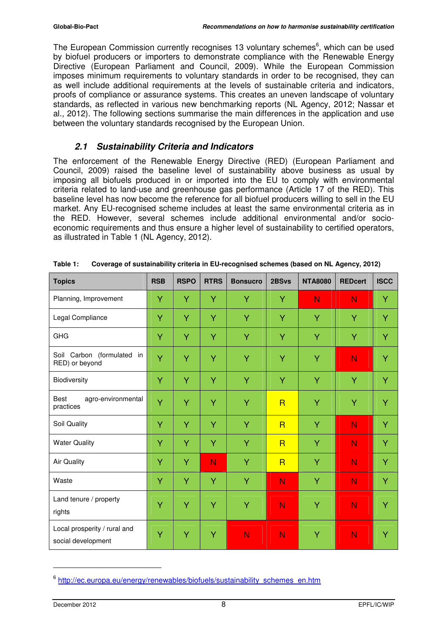The European Commission currently recognises 13 voluntary schemes<sup>6</sup>, which can be used by biofuel producers or importers to demonstrate compliance with the Renewable Energy Directive (European Parliament and Council, 2009). While the European Commission imposes minimum requirements to voluntary standards in order to be recognised, they can as well include additional requirements at the levels of sustainable criteria and indicators, proofs of compliance or assurance systems. This creates an uneven landscape of voluntary standards, as reflected in various new benchmarking reports (NL Agency, 2012; Nassar et al., 2012). The following sections summarise the main differences in the application and use between the voluntary standards recognised by the European Union.

### **2.1 Sustainability Criteria and Indicators**

The enforcement of the Renewable Energy Directive (RED) (European Parliament and Council, 2009) raised the baseline level of sustainability above business as usual by imposing all biofuels produced in or imported into the EU to comply with environmental criteria related to land-use and greenhouse gas performance (Article 17 of the RED). This baseline level has now become the reference for all biofuel producers willing to sell in the EU market. Any EU-recognised scheme includes at least the same environmental criteria as in the RED. However, several schemes include additional environmental and/or socioeconomic requirements and thus ensure a higher level of sustainability to certified operators, as illustrated in Table 1 (NL Agency, 2012).

| <b>Topics</b>                                      | <b>RSB</b> | <b>RSPO</b> | <b>RTRS</b> | <b>Bonsucro</b> | 2BSvs                   | <b>NTA8080</b> | <b>REDcert</b> | <b>ISCC</b> |
|----------------------------------------------------|------------|-------------|-------------|-----------------|-------------------------|----------------|----------------|-------------|
| Planning, Improvement                              | Y          | Ÿ           | Y           | Y               | Y                       | N              | N              | Y           |
| Legal Compliance                                   | Y          | Ÿ           | Ÿ           | Ÿ               | Ÿ                       | Ÿ              | Ÿ              | Ÿ           |
| <b>GHG</b>                                         | Y          | Ÿ           | Ÿ           | Ÿ               | Ÿ                       | Ÿ              | Y              | Ÿ           |
| Soil Carbon (formulated in<br>RED) or beyond       | Ÿ          | Ÿ           | Ÿ           | Ÿ               | Ÿ                       | Ÿ              | N              | Υ           |
| Biodiversity                                       | Y          | Ÿ           | Ÿ           | Ÿ               | Ÿ                       | Y              | Y              | Ÿ           |
| <b>Best</b><br>agro-environmental<br>practices     | Ÿ          | Ÿ           | Ÿ           | Ÿ               | $\overline{R}$          | Ÿ              | Ÿ              | Y           |
| Soil Quality                                       | Ÿ          | Ÿ           | Ÿ           | Ÿ               | $\overline{\mathsf{R}}$ | Ÿ              | N              | Ÿ           |
| <b>Water Quality</b>                               | Y          | Ÿ           | Ÿ           | Ÿ               | $\overline{\mathsf{R}}$ | Ÿ              | N              | Ÿ           |
| <b>Air Quality</b>                                 | Y          | Ÿ           | N           | Ÿ               | $\overline{\mathsf{R}}$ | Y              | N              | Ÿ           |
| Waste                                              | Ÿ          | Ÿ           | Y           | Ÿ               | N                       | Ÿ              | N              | Ÿ           |
| Land tenure / property<br>rights                   | Y          | Ÿ           | Ÿ           | Y               | N                       | Ÿ              | N              | Ÿ           |
| Local prosperity / rural and<br>social development | Y          | Ÿ           | Ÿ           | N               | N                       | Ÿ              | N              | Y           |

| Table 1: | Coverage of sustainability criteria in EU-recognised schemes (based on NL Agency, 2012) |  |  |
|----------|-----------------------------------------------------------------------------------------|--|--|
|          |                                                                                         |  |  |

<sup>&</sup>lt;sup>6</sup> http://ec.europa.eu/energy/renewables/biofuels/sustainability\_schemes\_en.htm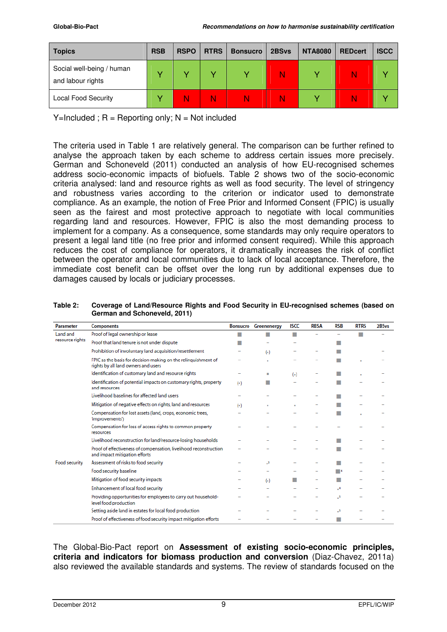| <b>Topics</b>                                  | <b>RSB</b> | <b>RSPO</b> | <b>RTRS</b> | <b>Bonsucro</b> | 2BSvs | <b>NTA8080</b> | <b>REDcert</b> | <b>ISCC</b> |
|------------------------------------------------|------------|-------------|-------------|-----------------|-------|----------------|----------------|-------------|
| Social well-being / human<br>and labour rights |            |             |             |                 | N     |                | N              |             |
| <b>Local Food Security</b>                     |            |             | N           | Ν               | N     |                |                |             |

 $Y=$ Included ;  $R =$  Reporting only;  $N =$  Not included

The criteria used in Table 1 are relatively general. The comparison can be further refined to analyse the approach taken by each scheme to address certain issues more precisely. German and Schoneveld (2011) conducted an analysis of how EU-recognised schemes address socio-economic impacts of biofuels. Table 2 shows two of the socio-economic criteria analysed: land and resource rights as well as food security. The level of stringency and robustness varies according to the criterion or indicator used to demonstrate compliance. As an example, the notion of Free Prior and Informed Consent (FPIC) is usually seen as the fairest and most protective approach to negotiate with local communities regarding land and resources. However, FPIC is also the most demanding process to implement for a company. As a consequence, some standards may only require operators to present a legal land title (no free prior and informed consent required). While this approach reduces the cost of compliance for operators, it dramatically increases the risk of conflict between the operator and local communities due to lack of local acceptance. Therefore, the immediate cost benefit can be offset over the long run by additional expenses due to damages caused by locals or judiciary processes.

| Table 2: | Coverage of Land/Resource Rights and Food Security in EU-recognised schemes (based on |
|----------|---------------------------------------------------------------------------------------|
|          | German and Schoneveld, 2011)                                                          |

| Parameter       | <b>Components</b>                                                                                     |       | <b>Bonsucro</b> Greeneneray | ISCC  | <b>RBSA</b> | <b>RSB</b> | <b>RTRS</b> | 2BSvs |
|-----------------|-------------------------------------------------------------------------------------------------------|-------|-----------------------------|-------|-------------|------------|-------------|-------|
| Land and        | Proof of legal ownership or lease                                                                     | п     |                             | ш     |             |            | ▄           |       |
| resource rights | Proof that land tenure is not under dispute                                                           |       |                             |       |             |            |             |       |
|                 | Prohibition of involuntary land acquisition/resettlement                                              |       | $(-)$                       |       |             |            |             |       |
|                 | FPIC as the basis for decision-making on the relinguishment of<br>rights by all land owners and users |       |                             |       |             |            |             |       |
|                 | Identification of customary land and resource rights                                                  |       | п                           | $(-)$ |             |            |             |       |
|                 | Identification of potential impacts on customary rights, property<br>and resources                    | $(-)$ |                             |       |             |            |             |       |
|                 | Livelihood baselines for affected land users                                                          |       |                             |       |             |            |             |       |
|                 | Mitigation of negative effects on rights, land and resources                                          | $(-)$ |                             |       |             |            |             |       |
|                 | Compensation for lost assets (land, crops, economic trees,<br>'improvements')                         |       |                             |       |             |            |             |       |
|                 | Compensation for loss of access rights to common property<br>resources                                |       |                             |       |             |            |             |       |
|                 | Livelihood reconstruction for land/resource-losing households                                         |       |                             |       |             |            |             |       |
|                 | Proof of effectiveness of compensation, livelihood reconstruction<br>and impact mitigation efforts    |       |                             |       |             |            |             |       |
| Food security   | Assessment of risks to food security                                                                  |       | $\overline{a}$              |       |             |            |             |       |
|                 | Food security baseline                                                                                |       |                             |       |             |            |             |       |
|                 | Mitigation of food security impacts                                                                   |       | $(-)$                       |       |             |            |             |       |
|                 | Enhancement of local food security                                                                    |       |                             |       |             | $-4$       |             |       |
|                 | Providing opportunities for employees to carry out household-<br>level food production                |       |                             |       |             | $\cdot$    |             |       |
|                 | Setting aside land in estates for local food production                                               |       |                             |       |             |            |             |       |
|                 | Proof of effectiveness of food security impact mitigation efforts                                     |       |                             |       |             | п          |             |       |

The Global-Bio-Pact report on **Assessment of existing socio-economic principles, criteria and indicators for biomass production and conversion** (Diaz-Chavez, 2011a) also reviewed the available standards and systems. The review of standards focused on the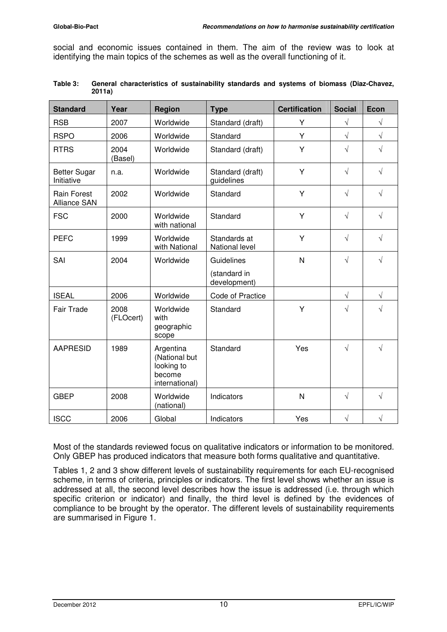social and economic issues contained in them. The aim of the review was to look at identifying the main topics of the schemes as well as the overall functioning of it.

| Table 3: | General characteristics of sustainability standards and systems of biomass (Diaz-Chavez, |
|----------|------------------------------------------------------------------------------------------|
|          | 2011a)                                                                                   |

| <b>Standard</b>                    | Year              | <b>Region</b>                                                        | <b>Type</b>                    | <b>Certification</b> | <b>Social</b> | <b>Econ</b> |
|------------------------------------|-------------------|----------------------------------------------------------------------|--------------------------------|----------------------|---------------|-------------|
| <b>RSB</b>                         | 2007              | Worldwide                                                            | Standard (draft)               | Υ                    | $\sqrt{}$     | $\sqrt{}$   |
| <b>RSPO</b>                        | 2006              | Worldwide                                                            | Standard                       | Υ                    | $\sqrt{}$     | $\sqrt{}$   |
| <b>RTRS</b>                        | 2004<br>(Basel)   | Worldwide                                                            | Standard (draft)               | Υ                    | $\sqrt{}$     | $\sqrt{}$   |
| <b>Better Sugar</b><br>Initiative  | n.a.              | Worldwide                                                            | Standard (draft)<br>guidelines | Y                    | $\sqrt{}$     | $\sqrt{}$   |
| Rain Forest<br><b>Alliance SAN</b> | 2002              | Worldwide                                                            | Standard                       | Y                    | $\sqrt{2}$    | $\sqrt{}$   |
| <b>FSC</b>                         | 2000              | Worldwide<br>with national                                           | Standard                       | Y                    | $\sqrt{}$     | √           |
| <b>PEFC</b>                        | 1999              | Worldwide<br>with National                                           | Standards at<br>National level | Y                    | $\sqrt{}$     | $\sqrt{}$   |
| SAI                                | 2004              | Worldwide                                                            | Guidelines                     | N                    | $\sqrt{}$     | $\sqrt{}$   |
|                                    |                   |                                                                      | (standard in<br>development)   |                      |               |             |
| <b>ISEAL</b>                       | 2006              | Worldwide                                                            | Code of Practice               |                      | $\sqrt{}$     | $\sqrt{ }$  |
| <b>Fair Trade</b>                  | 2008<br>(FLOcert) | Worldwide<br>with<br>geographic<br>scope                             | Standard                       | Y                    | $\sqrt{}$     | V           |
| <b>AAPRESID</b>                    | 1989              | Argentina<br>(National but<br>looking to<br>become<br>international) | Standard                       | Yes                  | $\sqrt{}$     | $\sqrt{}$   |
| <b>GBEP</b>                        | 2008              | Worldwide<br>(national)                                              | Indicators                     | N                    | $\sqrt{}$     | $\sqrt{}$   |
| <b>ISCC</b>                        | 2006              | Global                                                               | Indicators                     | Yes                  | $\sqrt{}$     | V           |

Most of the standards reviewed focus on qualitative indicators or information to be monitored. Only GBEP has produced indicators that measure both forms qualitative and quantitative.

Tables 1, 2 and 3 show different levels of sustainability requirements for each EU-recognised scheme, in terms of criteria, principles or indicators. The first level shows whether an issue is addressed at all, the second level describes how the issue is addressed (i.e. through which specific criterion or indicator) and finally, the third level is defined by the evidences of compliance to be brought by the operator. The different levels of sustainability requirements are summarised in Figure 1.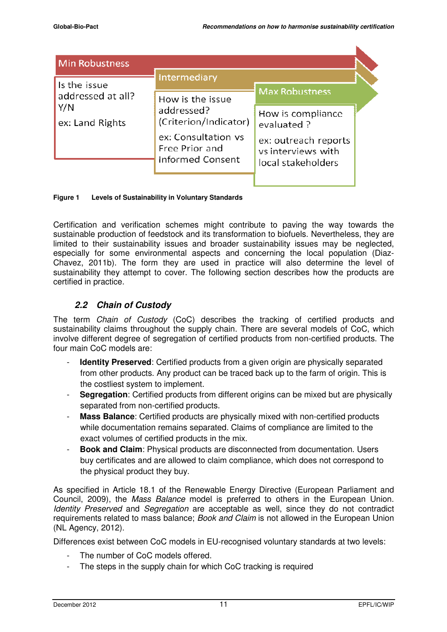| <b>Min Robustness</b>                       |                                                                                                                      |                                                                                                                              |  |  |
|---------------------------------------------|----------------------------------------------------------------------------------------------------------------------|------------------------------------------------------------------------------------------------------------------------------|--|--|
| Is the issue                                | Intermediary                                                                                                         |                                                                                                                              |  |  |
| addressed at all?<br>Y/N<br>ex: Land Rights | How is the issue<br>addressed?<br>(Criterion/Indicator)<br>ex: Consultation vs<br>Free Prior and<br>Informed Consent | <b>Max Robustness</b><br>How is compliance<br>evaluated?<br>ex: outreach reports<br>ys interviews with<br>local stakeholders |  |  |

#### **Figure 1 Levels of Sustainability in Voluntary Standards**

Certification and verification schemes might contribute to paving the way towards the sustainable production of feedstock and its transformation to biofuels. Nevertheless, they are limited to their sustainability issues and broader sustainability issues may be neglected, especially for some environmental aspects and concerning the local population (Diaz-Chavez, 2011b). The form they are used in practice will also determine the level of sustainability they attempt to cover. The following section describes how the products are certified in practice.

### **2.2 Chain of Custody**

The term *Chain of Custody* (CoC) describes the tracking of certified products and sustainability claims throughout the supply chain. There are several models of CoC, which involve different degree of segregation of certified products from non-certified products. The four main CoC models are:

- **Identity Preserved**: Certified products from a given origin are physically separated from other products. Any product can be traced back up to the farm of origin. This is the costliest system to implement.
- **Segregation**: Certified products from different origins can be mixed but are physically separated from non-certified products.
- **Mass Balance**: Certified products are physically mixed with non-certified products while documentation remains separated. Claims of compliance are limited to the exact volumes of certified products in the mix.
- **Book and Claim:** Physical products are disconnected from documentation. Users buy certificates and are allowed to claim compliance, which does not correspond to the physical product they buy.

As specified in Article 18.1 of the Renewable Energy Directive (European Parliament and Council, 2009), the Mass Balance model is preferred to others in the European Union. Identity Preserved and Segregation are acceptable as well, since they do not contradict requirements related to mass balance; *Book and Claim* is not allowed in the European Union (NL Agency, 2012).

Differences exist between CoC models in EU-recognised voluntary standards at two levels:

- The number of CoC models offered.
- The steps in the supply chain for which CoC tracking is required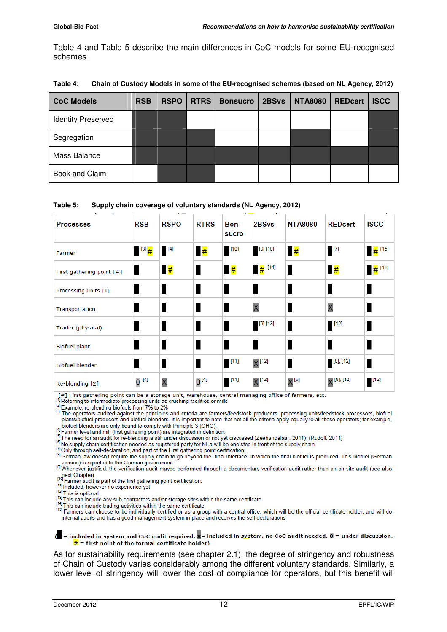Table 4 and Table 5 describe the main differences in CoC models for some EU-recognised schemes.

|  | Table 4: Chain of Custody Models in some of the EU-recognised schemes (based on NL Agency, 2012) |
|--|--------------------------------------------------------------------------------------------------|
|--|--------------------------------------------------------------------------------------------------|

| CoC Models                | <b>RSB</b> | <b>RSPO</b> | <b>RTRS</b> | <b>Bonsucro</b> | 2BSvs | <b>NTA8080</b> | <b>REDcert</b> | <b>ISCC</b> |
|---------------------------|------------|-------------|-------------|-----------------|-------|----------------|----------------|-------------|
| <b>Identity Preserved</b> |            |             |             |                 |       |                |                |             |
| Segregation               |            |             |             |                 |       |                |                |             |
| Mass Balance              |            |             |             |                 |       |                |                |             |
| Book and Claim            |            |             |             |                 |       |                |                |             |

#### **Table 5: Supply chain coverage of voluntary standards (NL Agency, 2012)**

| <b>Processes</b>          | <b>RSB</b>                                                                                                                                                                                                                         | <b>RSPO</b> | <b>RTRS</b>             | Bon-<br>sucro  | 2BS <sub>vs</sub>   | <b>NTA8080</b>                         | <b>REDcert</b>          | <b>ISCC</b>         |
|---------------------------|------------------------------------------------------------------------------------------------------------------------------------------------------------------------------------------------------------------------------------|-------------|-------------------------|----------------|---------------------|----------------------------------------|-------------------------|---------------------|
| Farmer                    | $^{[3]}\#$                                                                                                                                                                                                                         | $[4]$       | $\overline{\mathbf{r}}$ | $[10]$         | [9] [10]            | $\frac{1}{H}$                          | $[7]$                   | $\frac{1}{H}$ [15]  |
| First gathering point [#] |                                                                                                                                                                                                                                    | #           |                         | $\overline{a}$ | $\frac{1}{11}$ [14] |                                        | $\overline{\mathbf{r}}$ | <mark>#</mark> [15] |
| Processing units [1]      |                                                                                                                                                                                                                                    |             | ٠                       | п              |                     |                                        | П                       |                     |
| Transportation            |                                                                                                                                                                                                                                    |             |                         | п              | X                   |                                        | X                       |                     |
| Trader (physical)         |                                                                                                                                                                                                                                    |             |                         |                | [9] [13]            |                                        | $[12]$                  |                     |
| <b>Biofuel plant</b>      |                                                                                                                                                                                                                                    |             |                         | п              |                     |                                        |                         |                     |
| <b>Biofuel blender</b>    |                                                                                                                                                                                                                                    |             |                         | [11]           | $\mathsf{X}^{[12]}$ |                                        | $[8]$ , $[12]$          |                     |
| Re-blending [2]           | $[4] \centering% \includegraphics[width=1\textwidth]{images/TransY.pdf} \caption{The first two different values of $d=3$ and $d=4$ (left) and the second term (right) of $d=4$ (right) and $d=4$ (right).} \label{fig:class}$<br>O | X           | $0^{[4]}$               | [11]           | $\mathsf{X}^{[12]}$ | $\mathsf{X}^{\left[\mathsf{6}\right]}$ | $X^{[8], [12]}$         | [12]                |

[#] First gathering point can be a storage unit, warehouse, central managing office of farmers, etc.<br><sup>[1]</sup> Referring to intermediate processing units as crushing facilities or mills<br>[2] Example: re-blending biofuels from

[3] The operators audited against the principles and criteria are farmers/feedstock producers, processing units/feedstock processors, biofuel<br>plants/biofuel producers and biofuel blenders. It is important to note that not biofuel blenders are only bound to comply with Principle 3 (GHG).

Farmer level and mill (first gathering point) are integrated in definition.

<sup>[5]</sup> The need for an audit for re-blending is still under discussion or not yet discussed (Zeehandelaar, 2011), (Rudolf, 2011)

No supply chain certification needed as registered party for NEa will be one step in front of the supply chain

 $\frac{[7]}{[8]}$  Only through self-declaration, and part of the First gathering point certification

[8] German law doesn't require the supply chain to go beyond the "final interface" in which the final biofuel is produced. This biofuel (German with the procedure of the German government.<br>
<sup>[9]</sup> Whenever justified, the verification audit maybe performed through a documentary verification audit rather than an on-site audit (see also

The Chapter).<br>
The Chapter Chapter of the first gathering point certification.

[11] Included, however no experience yet

 $^{[12]}$  This is optional

 $^{[13]}$  This can include any sub-contractors and/or storage sites within the same certificate

<sup>[14]</sup> This can include trading activities within the same certificate

[15] Farmers can choose to be individually certified or as a group with a central office, which will be the official certificate holder, and will do internal audits and has a good management system in place and receives the self-declarations

 $($  = included in system and CoC audit required,  $x$  = included in system, no CoC audit needed,  $\overline{0}$  = under discussion,  $\frac{1}{\#}$  = first point of the formal certificate holder)

As for sustainability requirements (see chapter 2.1), the degree of stringency and robustness of Chain of Custody varies considerably among the different voluntary standards. Similarly, a lower level of stringency will lower the cost of compliance for operators, but this benefit will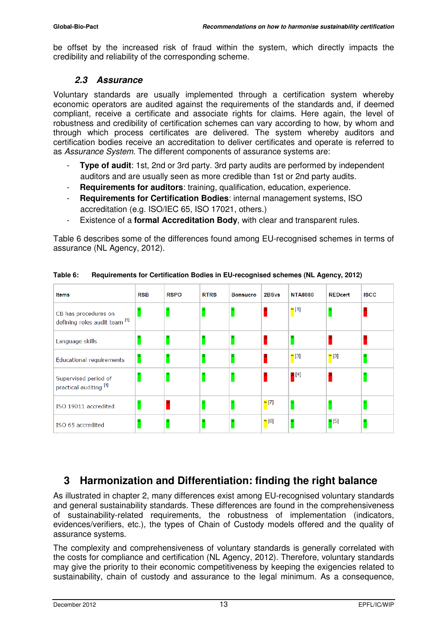be offset by the increased risk of fraud within the system, which directly impacts the credibility and reliability of the corresponding scheme.

### **2.3 Assurance**

Voluntary standards are usually implemented through a certification system whereby economic operators are audited against the requirements of the standards and, if deemed compliant, receive a certificate and associate rights for claims. Here again, the level of robustness and credibility of certification schemes can vary according to how, by whom and through which process certificates are delivered. The system whereby auditors and certification bodies receive an accreditation to deliver certificates and operate is referred to as Assurance System. The different components of assurance systems are:

- **Type of audit:** 1st, 2nd or 3rd party. 3rd party audits are performed by independent auditors and are usually seen as more credible than 1st or 2nd party audits.
- **Requirements for auditors**: training, qualification, education, experience.
- **Requirements for Certification Bodies**: internal management systems, ISO accreditation (e.g. ISO/IEC 65, ISO 17021, others.)
- Existence of a **formal Accreditation Body**, with clear and transparent rules.

Table 6 describes some of the differences found among EU-recognised schemes in terms of assurance (NL Agency, 2012).

| <b>Items</b>                                          | <b>RSB</b> | <b>RSPO</b> | <b>RTRS</b> | <b>Bonsucro</b> | 2BSvs              | <b>NTA8080</b>     | <b>REDcert</b> | <b>ISCC</b> |
|-------------------------------------------------------|------------|-------------|-------------|-----------------|--------------------|--------------------|----------------|-------------|
| CB has procedures on<br>defining roles audit team [1] |            |             |             |                 |                    | <u>≈</u> [1]       |                |             |
| Language skills                                       |            |             |             |                 |                    | Ī                  |                |             |
| Educational requirements                              |            |             |             |                 |                    | $\blacksquare$ [3] | $\approx$ [3]  |             |
| Supervised period of<br>practical auditing [1]        |            |             |             |                 |                    | <b>X</b> [4]       |                |             |
| ISO 19011 accredited                                  |            |             |             |                 | $\blacksquare$ [7] | Ī                  |                |             |
| ISO 65 accredited                                     |            |             |             |                 | <mark>≃</mark> [6] | F                  | $=$ [5]        |             |

**Table 6: Requirements for Certification Bodies in EU-recognised schemes (NL Agency, 2012)** 

# **3 Harmonization and Differentiation: finding the right balance**

As illustrated in chapter 2, many differences exist among EU-recognised voluntary standards and general sustainability standards. These differences are found in the comprehensiveness of sustainability-related requirements, the robustness of implementation (indicators, evidences/verifiers, etc.), the types of Chain of Custody models offered and the quality of assurance systems.

The complexity and comprehensiveness of voluntary standards is generally correlated with the costs for compliance and certification (NL Agency, 2012). Therefore, voluntary standards may give the priority to their economic competitiveness by keeping the exigencies related to sustainability, chain of custody and assurance to the legal minimum. As a consequence,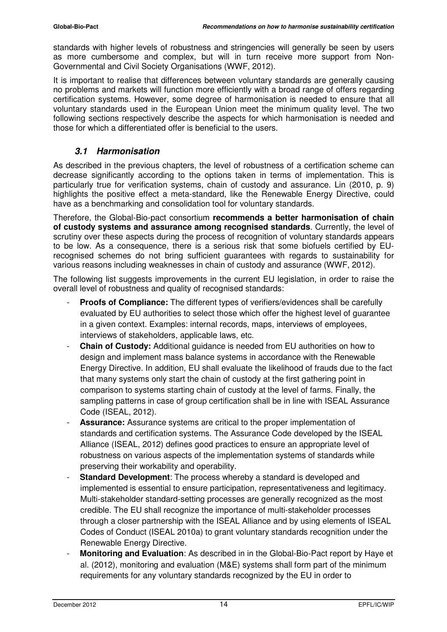standards with higher levels of robustness and stringencies will generally be seen by users as more cumbersome and complex, but will in turn receive more support from Non-Governmental and Civil Society Organisations (WWF, 2012).

It is important to realise that differences between voluntary standards are generally causing no problems and markets will function more efficiently with a broad range of offers regarding certification systems. However, some degree of harmonisation is needed to ensure that all voluntary standards used in the European Union meet the minimum quality level. The two following sections respectively describe the aspects for which harmonisation is needed and those for which a differentiated offer is beneficial to the users.

### **3.1 Harmonisation**

As described in the previous chapters, the level of robustness of a certification scheme can decrease significantly according to the options taken in terms of implementation. This is particularly true for verification systems, chain of custody and assurance. Lin (2010, p. 9) highlights the positive effect a meta-standard, like the Renewable Energy Directive, could have as a benchmarking and consolidation tool for voluntary standards.

Therefore, the Global-Bio-pact consortium **recommends a better harmonisation of chain of custody systems and assurance among recognised standards**. Currently, the level of scrutiny over these aspects during the process of recognition of voluntary standards appears to be low. As a consequence, there is a serious risk that some biofuels certified by EUrecognised schemes do not bring sufficient guarantees with regards to sustainability for various reasons including weaknesses in chain of custody and assurance (WWF, 2012).

The following list suggests improvements in the current EU legislation, in order to raise the overall level of robustness and quality of recognised standards:

- **Proofs of Compliance:** The different types of verifiers/evidences shall be carefully evaluated by EU authorities to select those which offer the highest level of guarantee in a given context. Examples: internal records, maps, interviews of employees, interviews of stakeholders, applicable laws, etc.
- **Chain of Custody:** Additional guidance is needed from EU authorities on how to design and implement mass balance systems in accordance with the Renewable Energy Directive. In addition, EU shall evaluate the likelihood of frauds due to the fact that many systems only start the chain of custody at the first gathering point in comparison to systems starting chain of custody at the level of farms. Finally, the sampling patterns in case of group certification shall be in line with ISEAL Assurance Code (ISEAL, 2012).
- Assurance: Assurance systems are critical to the proper implementation of standards and certification systems. The Assurance Code developed by the ISEAL Alliance (ISEAL, 2012) defines good practices to ensure an appropriate level of robustness on various aspects of the implementation systems of standards while preserving their workability and operability.
- **Standard Development**: The process whereby a standard is developed and implemented is essential to ensure participation, representativeness and legitimacy. Multi-stakeholder standard-setting processes are generally recognized as the most credible. The EU shall recognize the importance of multi-stakeholder processes through a closer partnership with the ISEAL Alliance and by using elements of ISEAL Codes of Conduct (ISEAL 2010a) to grant voluntary standards recognition under the Renewable Energy Directive.
- **Monitoring and Evaluation:** As described in in the Global-Bio-Pact report by Haye et al. (2012), monitoring and evaluation (M&E) systems shall form part of the minimum requirements for any voluntary standards recognized by the EU in order to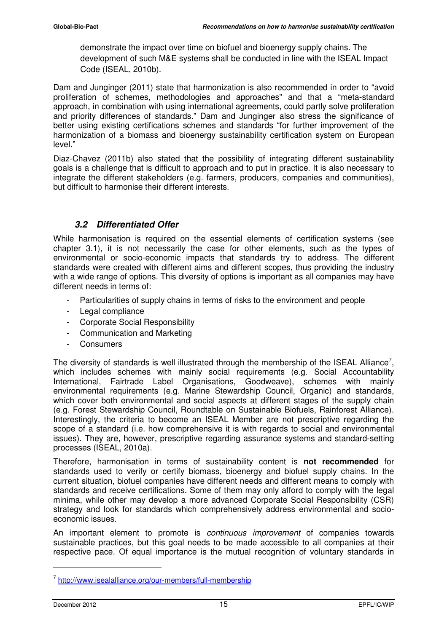demonstrate the impact over time on biofuel and bioenergy supply chains. The development of such M&E systems shall be conducted in line with the ISEAL Impact Code (ISEAL, 2010b).

Dam and Junginger (2011) state that harmonization is also recommended in order to "avoid proliferation of schemes, methodologies and approaches" and that a "meta-standard approach, in combination with using international agreements, could partly solve proliferation and priority differences of standards." Dam and Junginger also stress the significance of better using existing certifications schemes and standards "for further improvement of the harmonization of a biomass and bioenergy sustainability certification system on European level."

Diaz-Chavez (2011b) also stated that the possibility of integrating different sustainability goals is a challenge that is difficult to approach and to put in practice. It is also necessary to integrate the different stakeholders (e.g. farmers, producers, companies and communities), but difficult to harmonise their different interests.

### **3.2 Differentiated Offer**

While harmonisation is required on the essential elements of certification systems (see chapter 3.1), it is not necessarily the case for other elements, such as the types of environmental or socio-economic impacts that standards try to address. The different standards were created with different aims and different scopes, thus providing the industry with a wide range of options. This diversity of options is important as all companies may have different needs in terms of:

- Particularities of supply chains in terms of risks to the environment and people
- Legal compliance
- Corporate Social Responsibility
- Communication and Marketing
- Consumers

The diversity of standards is well illustrated through the membership of the ISEAL Alliance<sup>7</sup>, which includes schemes with mainly social requirements (e.g. Social Accountability International, Fairtrade Label Organisations, Goodweave), schemes with mainly environmental requirements (e.g. Marine Stewardship Council, Organic) and standards, which cover both environmental and social aspects at different stages of the supply chain (e.g. Forest Stewardship Council, Roundtable on Sustainable Biofuels, Rainforest Alliance). Interestingly, the criteria to become an ISEAL Member are not prescriptive regarding the scope of a standard (i.e. how comprehensive it is with regards to social and environmental issues). They are, however, prescriptive regarding assurance systems and standard-setting processes (ISEAL, 2010a).

Therefore, harmonisation in terms of sustainability content is **not recommended** for standards used to verify or certify biomass, bioenergy and biofuel supply chains. In the current situation, biofuel companies have different needs and different means to comply with standards and receive certifications. Some of them may only afford to comply with the legal minima, while other may develop a more advanced Corporate Social Responsibility (CSR) strategy and look for standards which comprehensively address environmental and socioeconomic issues.

An important element to promote is continuous improvement of companies towards sustainable practices, but this goal needs to be made accessible to all companies at their respective pace. Of equal importance is the mutual recognition of voluntary standards in

<sup>&</sup>lt;sup>7</sup> http://www.isealalliance.org/our-members/full-membership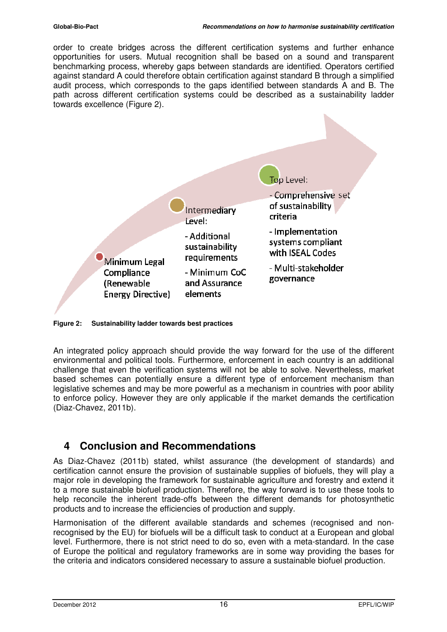order to create bridges across the different certification systems and further enhance opportunities for users. Mutual recognition shall be based on a sound and transparent benchmarking process, whereby gaps between standards are identified. Operators certified against standard A could therefore obtain certification against standard B through a simplified audit process, which corresponds to the gaps identified between standards A and B. The path across different certification systems could be described as a sustainability ladder towards excellence (Figure 2).



**Figure 2: Sustainability ladder towards best practices** 

An integrated policy approach should provide the way forward for the use of the different environmental and political tools. Furthermore, enforcement in each country is an additional challenge that even the verification systems will not be able to solve. Nevertheless, market based schemes can potentially ensure a different type of enforcement mechanism than legislative schemes and may be more powerful as a mechanism in countries with poor ability to enforce policy. However they are only applicable if the market demands the certification (Diaz-Chavez, 2011b).

# **4 Conclusion and Recommendations**

As Diaz-Chavez (2011b) stated, whilst assurance (the development of standards) and certification cannot ensure the provision of sustainable supplies of biofuels, they will play a major role in developing the framework for sustainable agriculture and forestry and extend it to a more sustainable biofuel production. Therefore, the way forward is to use these tools to help reconcile the inherent trade-offs between the different demands for photosynthetic products and to increase the efficiencies of production and supply.

Harmonisation of the different available standards and schemes (recognised and nonrecognised by the EU) for biofuels will be a difficult task to conduct at a European and global level. Furthermore, there is not strict need to do so, even with a meta-standard. In the case of Europe the political and regulatory frameworks are in some way providing the bases for the criteria and indicators considered necessary to assure a sustainable biofuel production.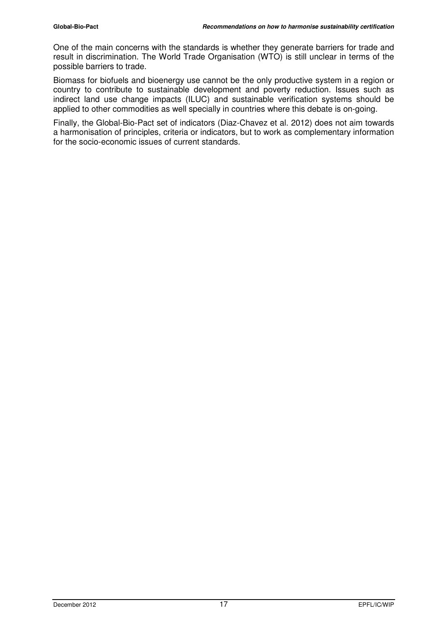One of the main concerns with the standards is whether they generate barriers for trade and result in discrimination. The World Trade Organisation (WTO) is still unclear in terms of the possible barriers to trade.

Biomass for biofuels and bioenergy use cannot be the only productive system in a region or country to contribute to sustainable development and poverty reduction. Issues such as indirect land use change impacts (ILUC) and sustainable verification systems should be applied to other commodities as well specially in countries where this debate is on-going.

Finally, the Global-Bio-Pact set of indicators (Diaz-Chavez et al. 2012) does not aim towards a harmonisation of principles, criteria or indicators, but to work as complementary information for the socio-economic issues of current standards.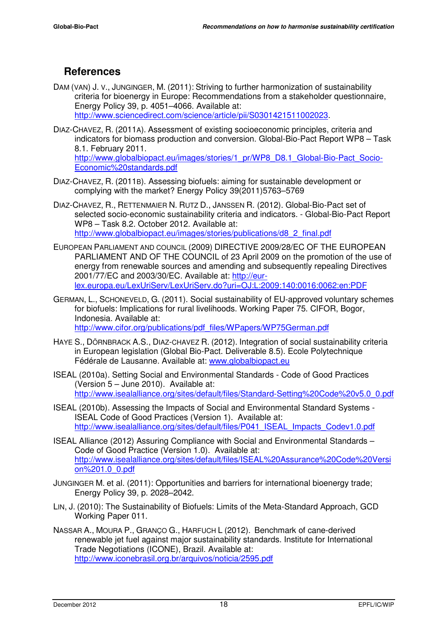## **References**

- DAM (VAN) J. V., JUNGINGER, M. (2011): Striving to further harmonization of sustainability criteria for bioenergy in Europe: Recommendations from a stakeholder questionnaire, Energy Policy 39, p. 4051–4066. Available at: http://www.sciencedirect.com/science/article/pii/S0301421511002023.
- DIAZ-CHAVEZ, R. (2011A). Assessment of existing socioeconomic principles, criteria and indicators for biomass production and conversion. Global-Bio-Pact Report WP8 – Task 8.1. February 2011. http://www.globalbiopact.eu/images/stories/1\_pr/WP8\_D8.1\_Global-Bio-Pact\_Socio-Economic%20standards.pdf
- DIAZ-CHAVEZ, R. (2011B). Assessing biofuels: aiming for sustainable development or complying with the market? Energy Policy 39(2011)5763–5769
- DIAZ-CHAVEZ, R., RETTENMAIER N. RUTZ D., JANSSEN R. (2012). Global-Bio-Pact set of selected socio-economic sustainability criteria and indicators. - Global-Bio-Pact Report WP8 – Task 8.2. October 2012. Available at: http://www.globalbiopact.eu/images/stories/publications/d8\_2\_final.pdf
- EUROPEAN PARLIAMENT AND COUNCIL (2009) DIRECTIVE 2009/28/EC OF THE EUROPEAN PARLIAMENT AND OF THE COUNCIL of 23 April 2009 on the promotion of the use of energy from renewable sources and amending and subsequently repealing Directives 2001/77/EC and 2003/30/EC. Available at: http://eurlex.europa.eu/LexUriServ/LexUriServ.do?uri=OJ:L:2009:140:0016:0062:en:PDF
- GERMAN, L., SCHONEVELD, G. (2011). Social sustainability of EU-approved voluntary schemes for biofuels: Implications for rural livelihoods. Working Paper 75. CIFOR, Bogor, Indonesia. Available at: http://www.cifor.org/publications/pdf\_files/WPapers/WP75German.pdf
- HAYE S., DÖRNBRACK A.S., DIAZ-CHAVEZ R. (2012). Integration of social sustainability criteria in European legislation (Global Bio-Pact. Deliverable 8.5). Ecole Polytechnique Fédérale de Lausanne. Available at: www.globalbiopact.eu
- ISEAL (2010a). Setting Social and Environmental Standards Code of Good Practices (Version 5 – June 2010). Available at: http://www.isealalliance.org/sites/default/files/Standard-Setting%20Code%20v5.0\_0.pdf
- ISEAL (2010b). Assessing the Impacts of Social and Environmental Standard Systems ISEAL Code of Good Practices (Version 1). Available at: http://www.isealalliance.org/sites/default/files/P041\_ISEAL\_Impacts\_Codev1.0.pdf
- ISEAL Alliance (2012) Assuring Compliance with Social and Environmental Standards Code of Good Practice (Version 1.0). Available at: http://www.isealalliance.org/sites/default/files/ISEAL%20Assurance%20Code%20Versi on%201.0\_0.pdf
- JUNGINGER M. et al. (2011): Opportunities and barriers for international bioenergy trade; Energy Policy 39, p. 2028–2042.
- LIN, J. (2010): The Sustainability of Biofuels: Limits of the Meta-Standard Approach, GCD Working Paper 011.
- NASSAR A., MOURA P., GRANÇO G., HARFUCH L (2012). Benchmark of cane-derived renewable jet fuel against major sustainability standards. Institute for International Trade Negotiations (ICONE), Brazil. Available at: http://www.iconebrasil.org.br/arquivos/noticia/2595.pdf